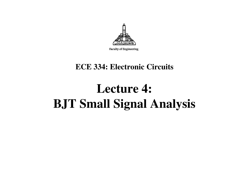

Faculty of Engineering

#### **ECE 334: Electronic Circuits**

# **Lecture 4: BJT Small Signal Analysis**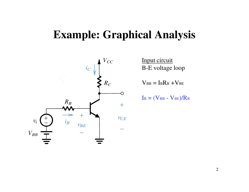#### **Example: Graphical Analysis**



Input circuitB-E voltage loop

 $V_{BB} = I_{B}R_{B} + V_{BE}$ 

$$
I_B = (V_{BB} - V_{BE})/R_B
$$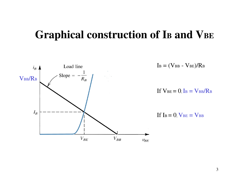#### **Graphical construction of IBand VBE**



 $I_{\text{B}} = (\text{V}_{\text{BB}} - \text{V}_{\text{BE}})/R_{\text{B}}$ 

If  $V_{BE} = 0$ , I<sub>B</sub> =  $V_{BB}/R_B$ 

If  $I_B = 0$ ,  $V_{BE} = V_{BB}$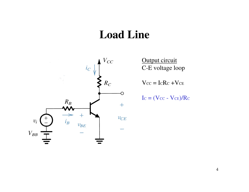#### **Load Line**



Output circuit C-E voltage loop

 $V_{\text{CC}} = \text{I}_{\text{C}}R_{\text{C}} + V_{\text{CE}}$ 

 $I_c = (V_{CC} - V_{CE})/R_C$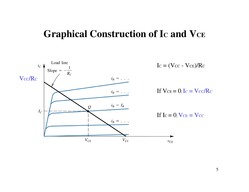#### **Graphical Construction of IC and VCE**

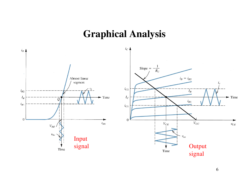#### **Graphical Analysis**

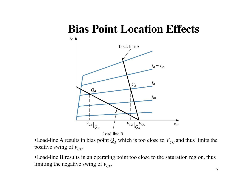## **Bias Point Location Effects**



•Load-line A results in bias point  $Q_A$  which is too close to  $V_{CC}$  and thus limits the positive swing of  $v_{CF}$ .

•Load-line B results in an operating point too close to the saturation region, thus limiting the negative swing of  $v_{CF}$ .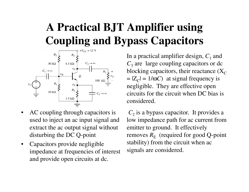## **A Practical BJT Amplifier using Coupling and Bypass Capacitors**



- • AC coupling through capacitors is used to inject an ac input signal and extract the ac output signal without disturbing the DC Q-point
- $\bullet$  Capacitors provide negligible impedance at frequencies of interest and provide open circuits at dc.

In a practical amplifier design,  $C_1$  and *C*<sub>3</sub> are large coupling capacitors or dc blocking capacitors, their reactance (X $_{\rm C}$  $= |Z_C| = 1/\omega C$  at signal frequency is negligible. They are effective open circuits for the circuit when DC bias is considered.

 $C_2$  is a bypass capacitor. It provides a low impedance path for ac current from emitter to ground. It effectively removes  $R_{\mathrm{E}}$  stability) from the circuit when ac  $_{\rm E}$  (required for good Q-point signals are considered.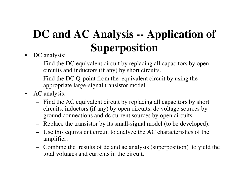## **DC and AC Analysis -- Application of Superposition**

- DC analysis:
	- Find the DC equivalent circuit by replacing all capacitors by open circuits and inductors (if any) by short circuits.
	- Find the DC Q-point from the equivalent circuit by using the appropriate large-signal transistor model.
- AC analysis:
	- Find the AC equivalent circuit by replacing all capacitors by short circuits, inductors (if any) by open circuits, dc voltage sources by ground connections and dc current sources by open circuits.
	- Replace the transistor by its small-signal model (to be developed).
	- Use this equivalent circuit to analyze the AC characteristics of the amplifier.
	- Combine the results of dc and ac analysis (superposition) to yield the total voltages and currents in the circuit.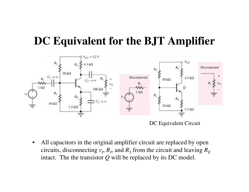#### **DC Equivalent for the BJT Amplifier**



 $\bullet$  All capacitors in the original amplifier circuit are replaced by open circuits, disconnecting  $v_I$ ,  $R_I$ , and  $R_3$  from the circuit and leaving  $R_E$ intact. The the transistor *Q* will be replaced by its DC model.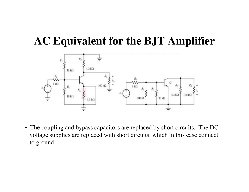## **AC Equivalent for the BJT Amplifier**



• The coupling and bypass capacitors are replaced by short circuits. The DC voltage supplies are replaced with short circuits, which in this case connect to ground.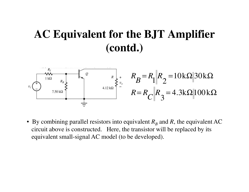#### **AC Equivalent for the BJT Amplifier (contd.)**



• By combining parallel resistors into equivalent  $R_B$  circuit above is constructed. Here, the transistor will be replaced by its $_B$  and  $R$ , the equivalent AC equivalent small-signal AC model (to be developed).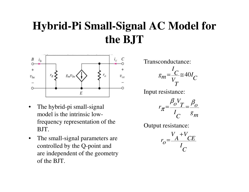## **Hybrid-Pi Small-Signal AC Model for the BJT**



- • The hybrid-pi small-signal model is the intrinsic lowfrequency representation of the BJT.
- • The small-signal parameters are controlled by the Q-point and are independent of the geometry of the BJT.

Transconductance:

$$
g_m = \frac{I_C}{V_T} \approx 40 I_C
$$

Input resistance:

$$
r_{\pi} = \frac{\beta_o V_T}{I_C} = \frac{\beta_o}{g_m}
$$

Output resistance:

$$
r_o = \frac{V_A + V_{CE}}{I_C}
$$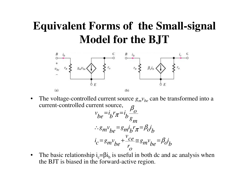## **Equivalent Forms of the Small-signal Model for the BJT**



•The voltage-controlled current source  $g_m v_{be}$  can be transformed into a current-controlled current source,

$$
v_{be} = i_b r_{\pi} = i_b \frac{\beta_o}{g_m}
$$
  
\n
$$
\therefore g_m v_{be} = g_m i_b r_{\pi} = \beta_o i_b
$$
  
\n
$$
i_c = g_m v_{be} + \frac{v_{ce}}{r_o} \approx g_m v_{be} = \beta_o i
$$

*b*

•The basic relationship  $i_c = \beta i_b$  is useful in both dc and ac analysis when the BJT is biased in the forward-active region.